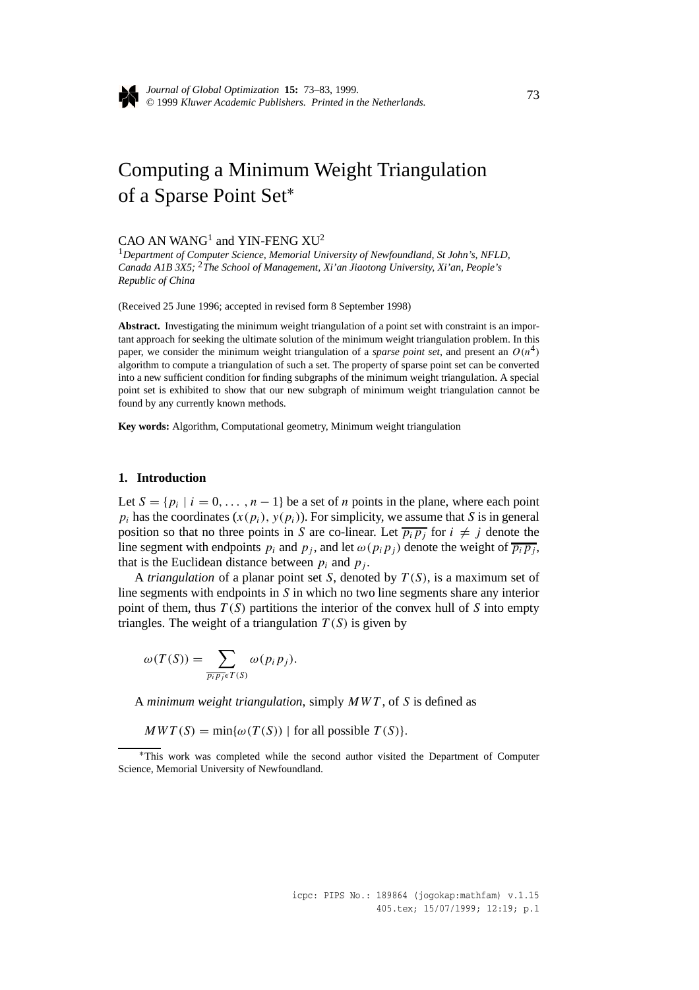

*Journal of Global Optimization* **15:** 73–83, 1999. © 1999 *Kluwer Academic Publishers. Printed in the Netherlands.* <sup>73</sup>

# Computing a Minimum Weight Triangulation of a Sparse Point Set<sup>∗</sup>

# $CAO$  AN WANG<sup>1</sup> and YIN-FENG XU<sup>2</sup>

<sup>1</sup>*Department of Computer Science, Memorial University of Newfoundland, St John's, NFLD, Canada A1B 3X5;* <sup>2</sup>*The School of Management, Xi'an Jiaotong University, Xi'an, People's Republic of China*

(Received 25 June 1996; accepted in revised form 8 September 1998)

**Abstract.** Investigating the minimum weight triangulation of a point set with constraint is an important approach for seeking the ultimate solution of the minimum weight triangulation problem. In this paper, we consider the minimum weight triangulation of a *sparse point set*, and present an  $O(n^4)$ algorithm to compute a triangulation of such a set. The property of sparse point set can be converted into a new sufficient condition for finding subgraphs of the minimum weight triangulation. A special point set is exhibited to show that our new subgraph of minimum weight triangulation cannot be found by any currently known methods.

**Key words:** Algorithm, Computational geometry, Minimum weight triangulation

#### **1. Introduction**

Let  $S = \{p_i \mid i = 0, \ldots, n-1\}$  be a set of *n* points in the plane, where each point  $p_i$  has the coordinates  $(x(p_i), y(p_i))$ . For simplicity, we assume that *S* is in general position so that no three points in *S* are co-linear. Let  $\overline{p_i p_j}$  for  $i \neq j$  denote the line segment with endpoints  $p_i$  and  $p_j$ , and let  $\omega(p_i p_j)$  denote the weight of  $\overline{p_i p_j}$ , that is the Euclidean distance between  $p_i$  and  $p_j$ .

A *triangulation* of a planar point set *S*, denoted by *T (S)*, is a maximum set of line segments with endpoints in *S* in which no two line segments share any interior point of them, thus *T (S)* partitions the interior of the convex hull of *S* into empty triangles. The weight of a triangulation  $T(S)$  is given by

$$
\omega(T(S)) = \sum_{\overline{p_i p_j} \in T(S)} \omega(p_i p_j).
$$

A *minimum weight triangulation*, simply *MWT* , of *S* is defined as

 $MWT(S) = min{\omega(T(S))}$  for all possible  $T(S)$ *.* 

<sup>∗</sup>This work was completed while the second author visited the Department of Computer Science, Memorial University of Newfoundland.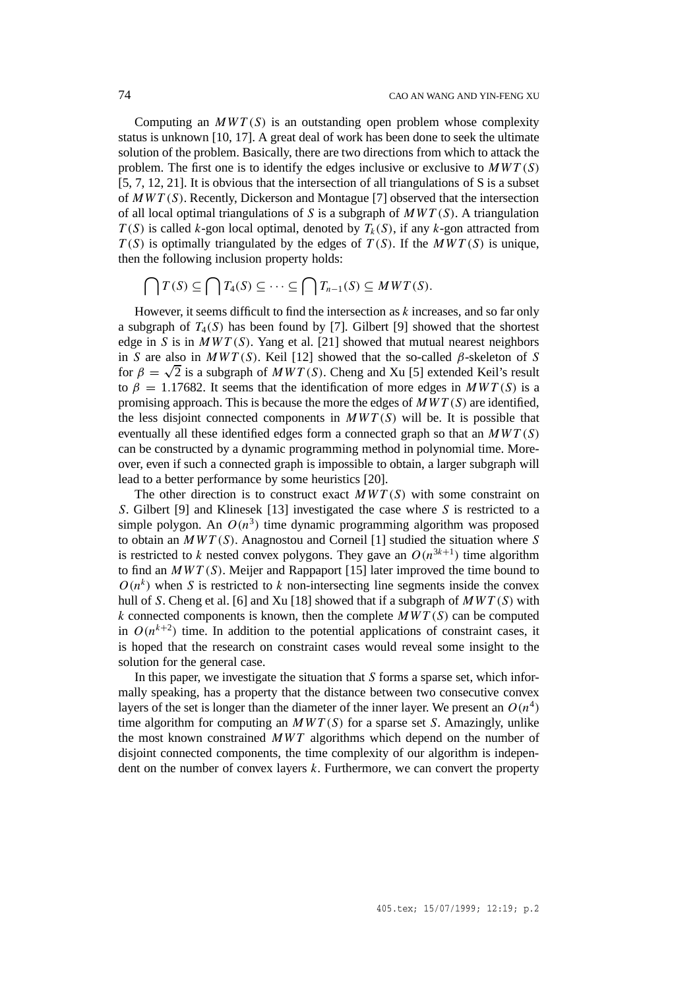Computing an  $MWT(S)$  is an outstanding open problem whose complexity status is unknown [10, 17]. A great deal of work has been done to seek the ultimate solution of the problem. Basically, there are two directions from which to attack the problem. The first one is to identify the edges inclusive or exclusive to *MW T (S)* [5, 7, 12, 21]. It is obvious that the intersection of all triangulations of S is a subset of *MW T (S)*. Recently, Dickerson and Montague [7] observed that the intersection of all local optimal triangulations of *S* is a subgraph of *MW T (S)*. A triangulation  $T(S)$  is called *k*-gon local optimal, denoted by  $T_k(S)$ , if any *k*-gon attracted from  $T(S)$  is optimally triangulated by the edges of  $T(S)$ . If the  $MWT(S)$  is unique, then the following inclusion property holds:

$$
\bigcap T(S) \subseteq \bigcap T_4(S) \subseteq \cdots \subseteq \bigcap T_{n-1}(S) \subseteq MWT(S).
$$

However, it seems difficult to find the intersection as *k* increases, and so far only a subgraph of  $T_4(S)$  has been found by [7]. Gilbert [9] showed that the shortest edge in *S* is in *MW T (S)*. Yang et al. [21] showed that mutual nearest neighbors in *S* are also in  $MWT(S)$ . Keil [12] showed that the so-called  $\beta$ -skeleton of *S* for  $\beta = \sqrt{2}$  is a subgraph of *MWT* (S). Cheng and Xu [5] extended Keil's result to  $\beta = 1.17682$ . It seems that the identification of more edges in  $MWT(S)$  is a promising approach. This is because the more the edges of *MW T (S)* are identified, the less disjoint connected components in  $MWT(S)$  will be. It is possible that eventually all these identified edges form a connected graph so that an *MW T (S)* can be constructed by a dynamic programming method in polynomial time. Moreover, even if such a connected graph is impossible to obtain, a larger subgraph will lead to a better performance by some heuristics [20].

The other direction is to construct exact  $MWT(S)$  with some constraint on *S*. Gilbert [9] and Klinesek [13] investigated the case where *S* is restricted to a simple polygon. An  $O(n^3)$  time dynamic programming algorithm was proposed to obtain an *MW T (S)*. Anagnostou and Corneil [1] studied the situation where *S* is restricted to *k* nested convex polygons. They gave an  $O(n^{3k+1})$  time algorithm to find an *MW T (S)*. Meijer and Rappaport [15] later improved the time bound to  $O(n^k)$  when *S* is restricted to *k* non-intersecting line segments inside the convex hull of *S*. Cheng et al. [6] and Xu [18] showed that if a subgraph of *MW T (S)* with  $k$  connected components is known, then the complete  $MWT(S)$  can be computed in  $O(n^{k+2})$  time. In addition to the potential applications of constraint cases, it is hoped that the research on constraint cases would reveal some insight to the solution for the general case.

In this paper, we investigate the situation that *S* forms a sparse set, which informally speaking, has a property that the distance between two consecutive convex layers of the set is longer than the diameter of the inner layer. We present an  $O(n^4)$ time algorithm for computing an *MW T (S)* for a sparse set *S*. Amazingly, unlike the most known constrained *MWT* algorithms which depend on the number of disjoint connected components, the time complexity of our algorithm is independent on the number of convex layers *k*. Furthermore, we can convert the property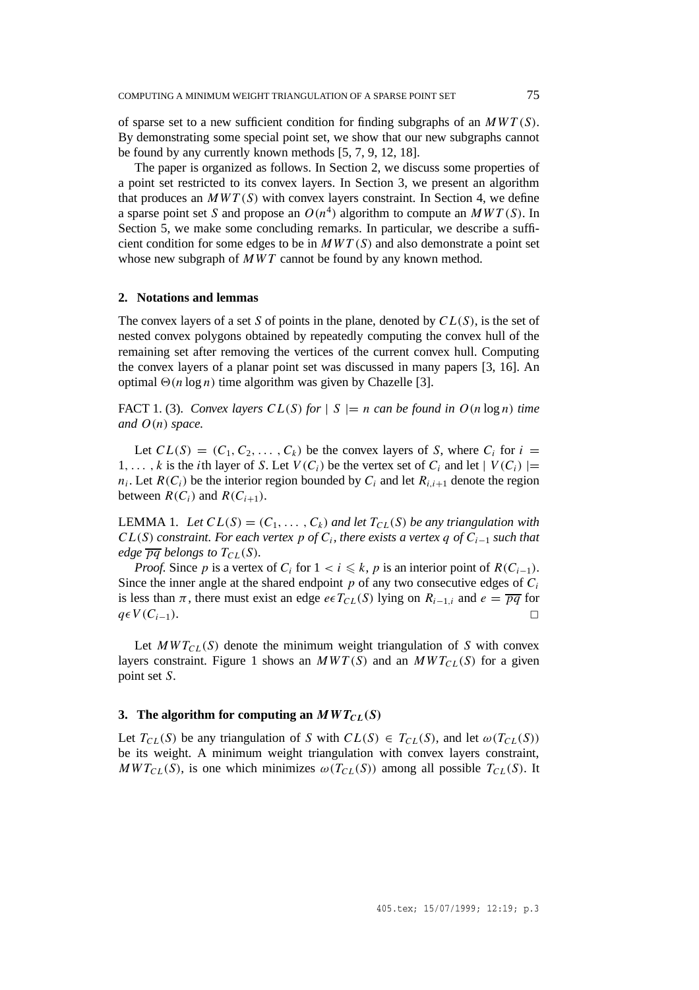of sparse set to a new sufficient condition for finding subgraphs of an *MW T (S)*. By demonstrating some special point set, we show that our new subgraphs cannot be found by any currently known methods [5, 7, 9, 12, 18].

The paper is organized as follows. In Section 2, we discuss some properties of a point set restricted to its convex layers. In Section 3, we present an algorithm that produces an  $MWT(S)$  with convex layers constraint. In Section 4, we define a sparse point set *S* and propose an  $O(n^4)$  algorithm to compute an  $MWT(S)$ . In Section 5, we make some concluding remarks. In particular, we describe a sufficient condition for some edges to be in  $MWT(S)$  and also demonstrate a point set whose new subgraph of *MWT* cannot be found by any known method.

# **2. Notations and lemmas**

The convex layers of a set *S* of points in the plane, denoted by *CL(S)*, is the set of nested convex polygons obtained by repeatedly computing the convex hull of the remaining set after removing the vertices of the current convex hull. Computing the convex layers of a planar point set was discussed in many papers [3, 16]. An optimal  $\Theta(n \log n)$  time algorithm was given by Chazelle [3].

FACT 1. (3). *Convex layers*  $CL(S)$  *for*  $|S| = n$  *can be found in*  $O(n \log n)$  *time* and  $O(n)$  *space.* 

Let  $CL(S) = (C_1, C_2, \ldots, C_k)$  be the convex layers of *S*, where  $C_i$  for  $i =$ 1,..., k is the *i*th layer of *S*. Let  $V(C_i)$  be the vertex set of  $C_i$  and let  $|V(C_i)| =$  $n_i$ . Let  $R(C_i)$  be the interior region bounded by  $C_i$  and let  $R_{i,i+1}$  denote the region between  $R(C_i)$  and  $R(C_{i+1})$ .

LEMMA 1. Let  $CL(S) = (C_1, \ldots, C_k)$  and let  $T_{CL}(S)$  be any triangulation with *CL(S) constraint. For each vertex p of Ci, there exists a vertex q of Ci*<sup>−</sup><sup>1</sup> *such that edge*  $\overline{pq}$  *belongs to*  $T_{CL}(S)$ *.* 

*Proof.* Since *p* is a vertex of  $C_i$  for  $1 < i \leq k$ , *p* is an interior point of  $R(C_{i-1})$ . Since the inner angle at the shared endpoint  $p$  of any two consecutive edges of  $C_i$ is less than  $\pi$ , there must exist an edge *e*∈ $T_{CL}(S)$  lying on  $R_{i-1,i}$  and  $e = \overline{pq}$  for  $q \in V(C_{i-1})$ .

Let  $MWT_{CL}(S)$  denote the minimum weight triangulation of *S* with convex layers constraint. Figure 1 shows an  $MWT(S)$  and an  $MWT_{CL}(S)$  for a given point set *S*.

### **3.** The algorithm for computing an  $MWT_{CL}(S)$

Let  $T_{CL}(S)$  be any triangulation of *S* with  $CL(S) \in T_{CL}(S)$ , and let  $\omega(T_{CL}(S))$ be its weight. A minimum weight triangulation with convex layers constraint,  $MWT_{CL}(S)$ , is one which minimizes  $\omega(T_{CL}(S))$  among all possible  $T_{CL}(S)$ . It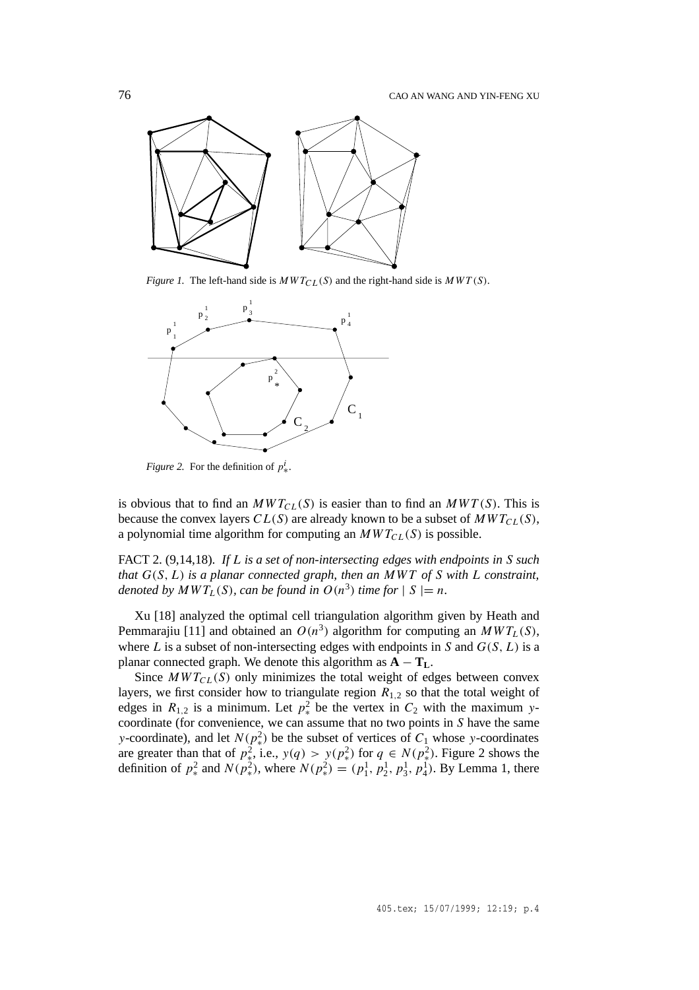

*Figure 1.* The left-hand side is  $MWT_{CL}(S)$  and the right-hand side is  $MWT(S)$ .



*Figure 2.* For the definition of  $p^i_*$ .

is obvious that to find an  $MWT_{CL}(S)$  is easier than to find an  $MWT(S)$ . This is because the convex layers  $CL(S)$  are already known to be a subset of  $MWT_{CL}(S)$ , a polynomial time algorithm for computing an  $MWT_{CL}(S)$  is possible.

FACT 2. (9,14,18). *If L is a set of non-intersecting edges with endpoints in S such that G(S, L) is a planar connected graph, then an MWT of S with L constraint, denoted by*  $MWT_L(S)$ *, can be found in*  $O(n^3)$  *time for*  $|S| = n$ *.* 

Xu [18] analyzed the optimal cell triangulation algorithm given by Heath and Pemmarajiu [11] and obtained an  $O(n^3)$  algorithm for computing an  $MWT_L(S)$ , where  $L$  is a subset of non-intersecting edges with endpoints in  $S$  and  $G(S, L)$  is a planar connected graph. We denote this algorithm as  $\mathbf{A} - \mathbf{T}_L$ .

Since  $MWT_{CL}(S)$  only minimizes the total weight of edges between convex layers, we first consider how to triangulate region  $R_{1,2}$  so that the total weight of edges in  $R_{1,2}$  is a minimum. Let  $p^2_*$  be the vertex in  $C_2$  with the maximum *y*coordinate (for convenience, we can assume that no two points in *S* have the same *y*-coordinate), and let  $N(p^2_*)$  be the subset of vertices of  $C_1$  whose *y*-coordinates are greater than that of  $p_*^2$ , i.e.,  $y(q) > y(p_*^2)$  for  $q \in N(p_*^2)$ . Figure 2 shows the definition of  $p^2_*$  and  $N(p^2_*)$ , where  $N(p^2_*) = (p^1_1, p^1_2, p^1_3, p^1_4)$ . By Lemma 1, there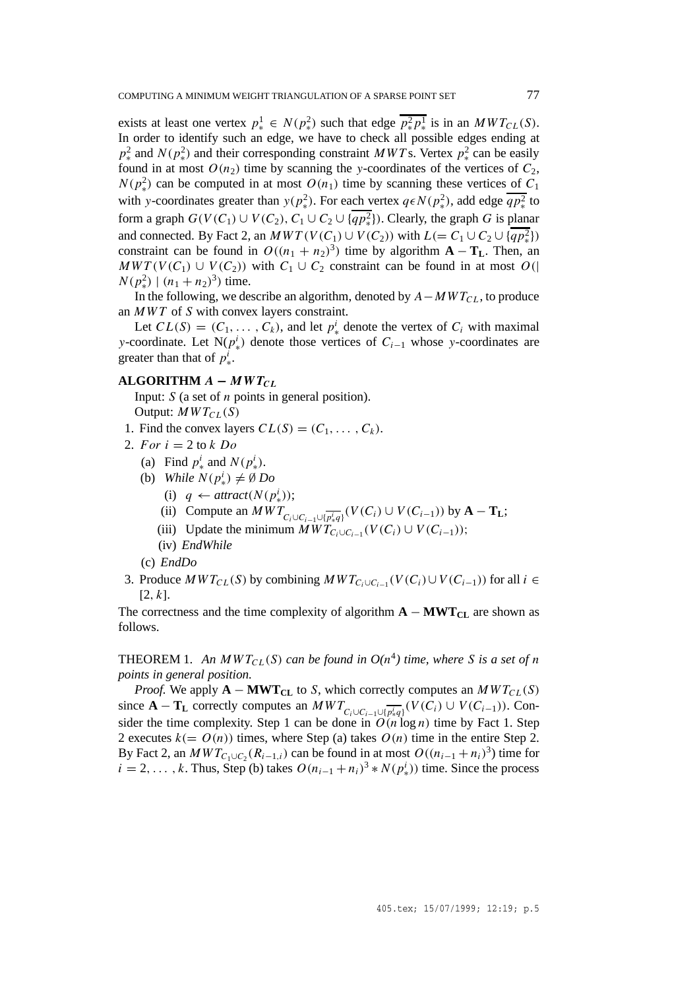exists at least one vertex  $p^1_* \in N(p^2_*)$  such that edge  $\overline{p^2_* p^1_*}$  is in an  $MWT_{CL}(S)$ . In order to identify such an edge, we have to check all possible edges ending at  $p^2_*$  and *N*( $p^2_*$ ) and their corresponding constraint *MWT* s. Vertex  $p^2_*$  can be easily found in at most  $O(n_2)$  time by scanning the *y*-coordinates of the vertices of  $C_2$ ,  $N(p^2)$  can be computed in at most  $O(n_1)$  time by scanning these vertices of  $C_1$ with *y*-coordinates greater than  $y(p_*^2)$ . For each vertex  $q \in N(p_*^2)$ , add edge  $\overline{qp_*^2}$  to form a graph  $G(V(C_1) \cup V(C_2), C_1 \cup C_2 \cup \{qp_*^2\})$ . Clearly, the graph *G* is planar and connected. By Fact 2, an  $MWT(V(C_1) \cup V(C_2))$  with  $L (= C_1 \cup C_2 \cup \{qp_*^2\})$ constraint can be found in  $O((n_1 + n_2)^3)$  time by algorithm  $\mathbf{A} - \mathbf{T_L}$ . Then, an  $MWT(V(C_1) \cup V(C_2))$  with  $C_1 \cup C_2$  constraint can be found in at most  $O(|C_1|)$  $N(p_*^2) \mid (n_1 + n_2)^3$  time.

In the following, we describe an algorithm, denoted by  $A - MWT_{CL}$ , to produce an *MWT* of *S* with convex layers constraint.

Let  $CL(S) = (C_1, \ldots, C_k)$ , and let  $p^i_*$  denote the vertex of  $C_i$  with maximal *y*-coordinate. Let  $N(p^i)$  denote those vertices of  $C_{i-1}$  whose *y*-coordinates are greater than that of  $p^i_*$ .

# $ALGORITHM A - MWT_{CL}$

Input: *S* (a set of *n* points in general position). Output:  $MWT_{CL}(S)$ 

- 1. Find the convex layers  $CL(S) = (C_1, \ldots, C_k)$ .
- 2. *For*  $i = 2$  to  $k$  *Do* 
	- (a) Find  $p^i_*$  and  $N(p^i_*)$ .
	- (b) *While*  $N(p^i_*) \neq \emptyset$  *Do* 
		- (i)  $q \leftarrow \text{attract}(N(p^i_*));$
		- (ii) Compute an  $MWT_{C_i \cup C_{i-1} \cup \{\overline{p_i^i q}\}}(V(C_i) \cup V(C_{i-1}))$  by  $A T_L$ ;
		- (iii) Update the minimum  $MWT_{C_i\cup C_{i-1}}(V(C_i)\cup V(C_{i-1}))$ ;
		- (iv) *EndWhile*
	- (c) *EndDo*
- 3. Produce  $MWT_{CL}(S)$  by combining  $MWT_{C_i\cup C_{i-1}}(V(C_i)\cup V(C_{i-1}))$  for all  $i \in$ [2*, k*].

The correctness and the time complexity of algorithm  $A - MWT_{CL}$  are shown as follows.

THEOREM 1. An  $MWT_{CL}(S)$  can be found in  $O(n^4)$  time, where S is a set of *n points in general position.*

*Proof.* We apply  $\mathbf{A} - \mathbf{MWT}_{CL}$  to *S*, which correctly computes an  $MWT_{CL}(S)$ since  $\mathbf{A} - \mathbf{T_L}$  correctly computes an  $MWT_{C_i\cup C_{i-1}\cup \{p_i^i q\}}(V(C_i)\cup V(C_{i-1}))$ . Consider the time complexity. Step 1 can be done in  $O(n \log n)$  time by Fact 1. Step 2 executes  $k(= O(n))$  times, where Step (a) takes  $O(n)$  time in the entire Step 2. By Fact 2, an  $MWT_{C_1\cup C_2}(R_{i-1,i})$  can be found in at most  $O((n_{i-1}+n_i)^3)$  time for  $i = 2, \ldots, k$ . Thus, Step (b) takes  $O(n_{i-1} + n_i)^3 * N(p_i^i)$  time. Since the process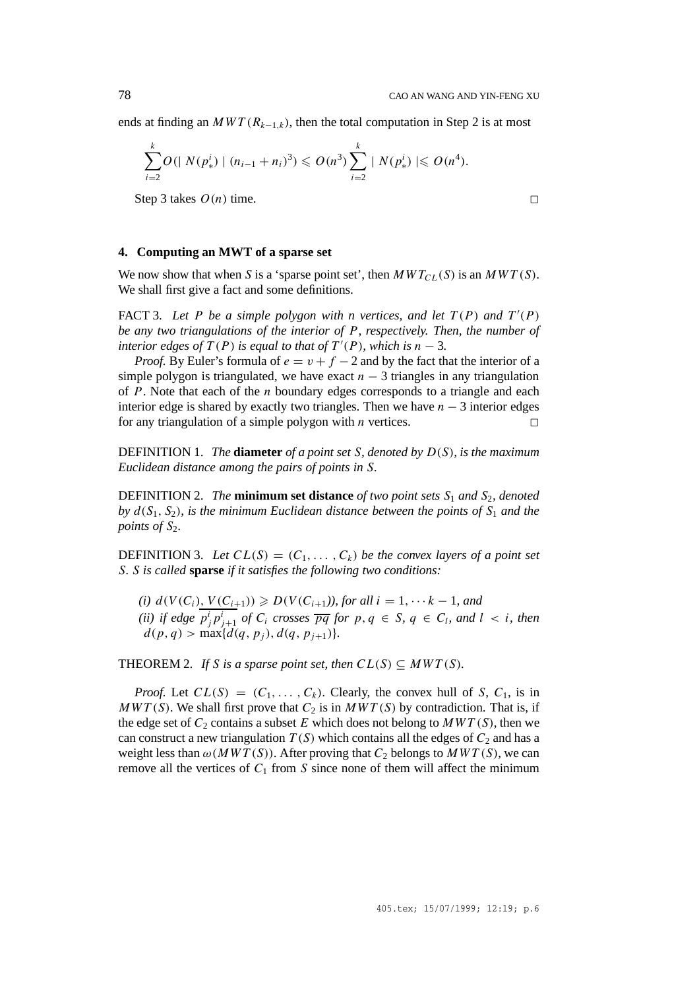ends at finding an  $MWT(R_{k-1,k})$ , then the total computation in Step 2 is at most

$$
\sum_{i=2}^k O(|N(p_*^i) | (n_{i-1}+n_i)^3) \leqslant O(n^3) \sum_{i=2}^k |N(p_*^i)| \leqslant O(n^4).
$$

Step 3 takes  $O(n)$  time.

### **4. Computing an MWT of a sparse set**

We now show that when *S* is a 'sparse point set', then  $MWT_{CL}(S)$  is an  $MWT(S)$ . We shall first give a fact and some definitions.

FACT 3. Let P be a simple polygon with n vertices, and let  $T(P)$  and  $T'(P)$ *be any two triangulations of the interior of P, respectively. Then, the number of interior edges of*  $T(P)$  *is equal to that of*  $T'(P)$ *, which is*  $n-3$ *.* 

*Proof.* By Euler's formula of  $e = v + f - 2$  and by the fact that the interior of a simple polygon is triangulated, we have exact  $n-3$  triangles in any triangulation of *P*. Note that each of the *n* boundary edges corresponds to a triangle and each interior edge is shared by exactly two triangles. Then we have *n* − 3 interior edges for any triangulation of a simple polygon with *n* vertices.

DEFINITION 1. *The* **diameter** *of a point set S, denoted by D(S), is the maximum Euclidean distance among the pairs of points in S.*

DEFINITION 2. *The* **minimum set distance** *of two point sets S*<sup>1</sup> *and S*2*, denoted by*  $d(S_1, S_2)$ *, is the minimum Euclidean distance between the points of*  $S_1$  *and the points of*  $S_2$ *.* 

**DEFINITION** 3. Let  $CL(S) = (C_1, \ldots, C_k)$  be the convex layers of a point set *S. S is called* **sparse** *if it satisfies the following two conditions:*

*(i)*  $d(V(C_i), V(C_{i+1}))$  ≥  $D(V(C_{i+1}))$ , for all  $i = 1, \dots k - 1$ , and *(ii) if edge*  $p_j^i p_{j+1}^i$  *of*  $C_i$  *crosses*  $\overline{pq}$  *for*  $p, q \in S$ ,  $q \in C_l$ , and  $l < i$ , then  $d(p, q)$  > max $\{d(q, p_j), d(q, p_{j+1})\}.$ 

THEOREM 2. *If S* is a sparse point set, then  $CL(S) \subseteq MWT(S)$ .

*Proof.* Let  $CL(S) = (C_1, \ldots, C_k)$ . Clearly, the convex hull of *S*,  $C_1$ , is in  $MWT(S)$ . We shall first prove that  $C_2$  is in  $MWT(S)$  by contradiction. That is, if the edge set of  $C_2$  contains a subset  $E$  which does not belong to  $MWT(S)$ , then we can construct a new triangulation  $T(S)$  which contains all the edges of  $C_2$  and has a weight less than  $\omega(MWT(S))$ . After proving that  $C_2$  belongs to  $MWT(S)$ , we can remove all the vertices of  $C_1$  from *S* since none of them will affect the minimum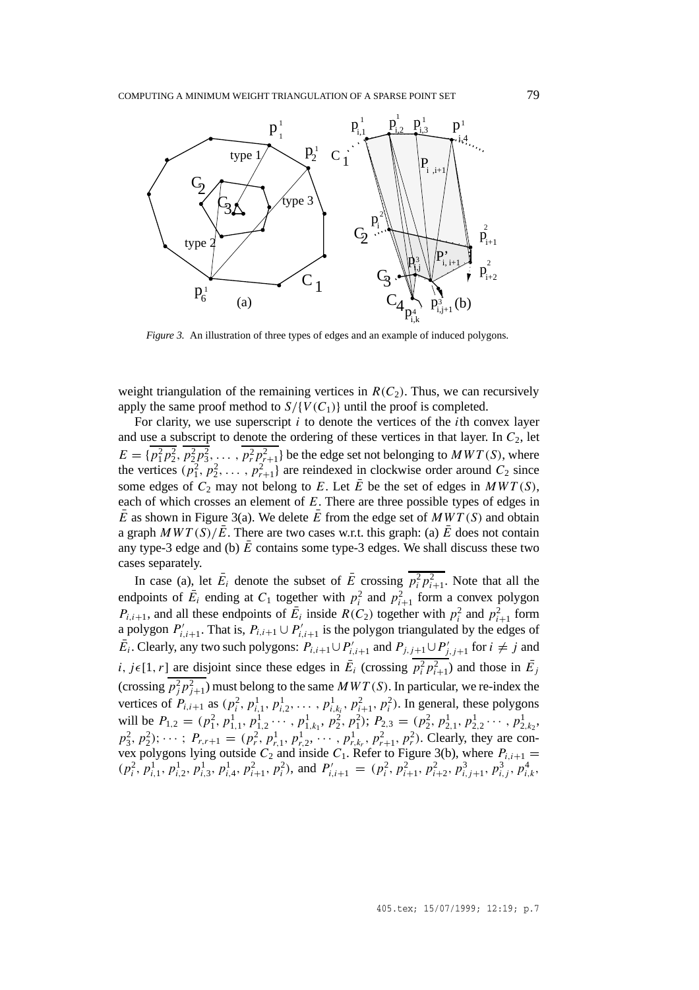

*Figure 3.* An illustration of three types of edges and an example of induced polygons.

weight triangulation of the remaining vertices in  $R(C_2)$ . Thus, we can recursively apply the same proof method to  $S / \{V(C_1)\}$  until the proof is completed.

For clarity, we use superscript *i* to denote the vertices of the *i*th convex layer and use a subscript to denote the ordering of these vertices in that layer. In  $C_2$ , let  $E = \{p_1^2 p_2^2, p_2^2 p_3^2, \ldots, p_r^2 p_{r+1}^2\}$  be the edge set not belonging to *MWT* (*S*), where the vertices  $(p_1^2, p_2^2, \ldots, p_{r+1}^2)$  are reindexed in clockwise order around  $C_2$  since some edges of  $C_2$  may not belong to *E*. Let  $\overline{E}$  be the set of edges in  $MWT(S)$ , each of which crosses an element of *E*. There are three possible types of edges in  $\overline{E}$  as shown in Figure 3(a). We delete  $\overline{E}$  from the edge set of  $MWT(S)$  and obtain a graph  $MWT(S)/\overline{E}$ . There are two cases w.r.t. this graph: (a)  $\overline{E}$  does not contain any type-3 edge and (b)  $\overline{E}$  contains some type-3 edges. We shall discuss these two cases separately.

In case (a), let  $\bar{E}_i$  denote the subset of  $\bar{E}$  crossing  $\overline{p_i^2 p_{i+1}^2}$ . Note that all the endpoints of  $\overline{E}_i$  ending at  $C_1$  together with  $p_i^2$  and  $p_{i+1}^2$  form a convex polygon  $P_{i,i+1}$ , and all these endpoints of  $\overline{E}_i$  inside  $R(C_2)$  together with  $p_i^2$  and  $p_{i+1}^2$  form a polygon  $P'_{i,i+1}$ . That is,  $P_{i,i+1} \cup P'_{i,i+1}$  is the polygon triangulated by the edges of *E*<sub>*i*</sub>. Clearly, any two such polygons:  $P_{i,i+1} \cup P'_{i,i+1}$  and  $P_{j,j+1} \cup P'_{j,j+1}$  for *i* ≠ *j* and *i, j*(1*, r*) are disjoint since these edges in  $\bar{E}_i$  (crossing  $\bar{p}_i^2 p_{i+1}^2$ ) and those in  $\bar{E}_j$ (crossing  $p_j^2 p_{j+1}^2$ ) must belong to the same  $MWT(S)$ . In particular, we re-index the vertices of  $P_{i,i+1}$  as  $(p_i^2, p_{i,1}^1, p_{i,2}^1, \ldots, p_{i,k_i}^1, p_{i+1}^2, p_i^2)$ . In general, these polygons will be  $P_{1,2} = (p_1^2, p_{1,1}^1, p_{1,2}^1, \dots, p_{1,k_1}^1, p_2^2, p_1^2);$   $P_{2,3} = (p_2^2, p_{2,1}^1, p_{2,2}^1, \dots, p_{2,k_2}^1,$  $p_3^2, p_2^2$ ;  $\cdots$ ;  $P_{r,r+1} = (p_r^2, p_{r,1}^1, p_{r,2}^1, \cdots, p_{r,k_r}^1, p_{r+1}^2, p_r^2)$ . Clearly, they are convex polygons lying outside  $C_2$  and inside  $C_1$ . Refer to Figure 3(b), where  $P_{i,i+1} =$  $(p_i^2, p_{i,1}^1, p_{i,2}^1, p_{i,3}^1, p_{i,4}^1, p_{i+1}^2, p_i^2)$ , and  $P'_{i,i+1} = (p_i^2, p_{i+1}^2, p_{i+2}^2, p_{i,j+1}^3, p_{i,j}^3, p_{i,k}^4, p_{i,k}^4, p_{i,k}^5, p_{i,k}^6, p_{i,k}^6, p_{i,k}^7, p_{i,k}^6, p_{i,k}^7, p_{i,k}^8, p_{i,k}^6, p_{i,k}^7, p_{i,k}^8, p_{i,k}^6, p_{$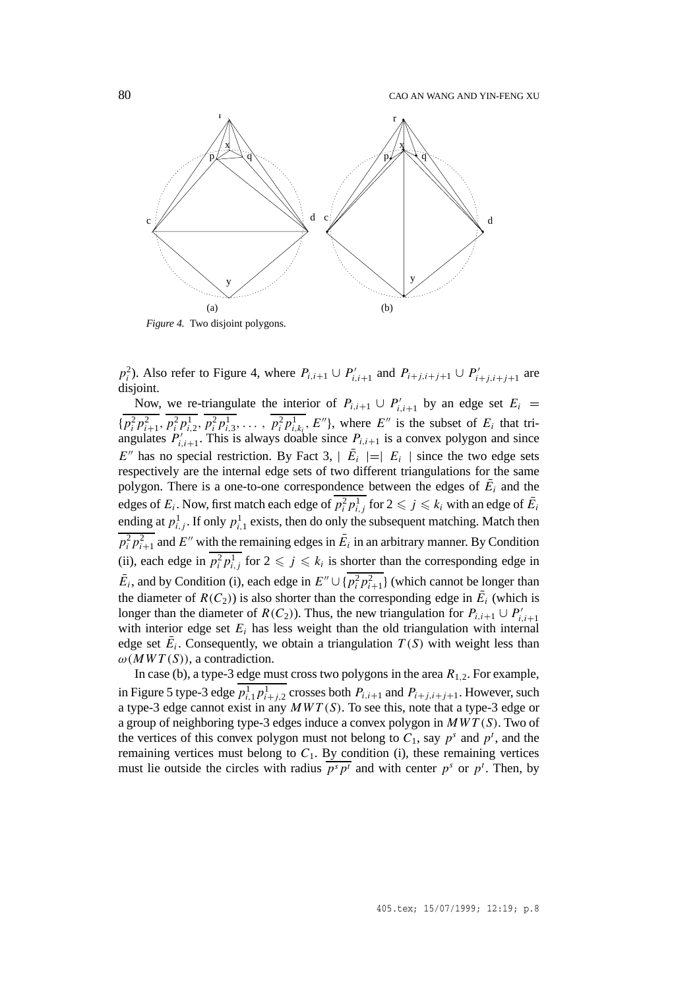80 CAO AN WANG AND YIN-FENG XU



 $p_i^2$ ). Also refer to Figure 4, where  $P_{i,i+1} \cup P'_{i,i+1}$  and  $P_{i+j,i+j+1} \cup P'_{i+j,i+j+1}$  are disjoint.

Now, we re-triangulate the interior of  $P_{i,i+1} \cup P'_{i,i+1}$  by an edge set  $E_i$  =  $\{p_i^2p_{i+1}^2, p_i^2p_{i,2}^1, p_i^2p_{i,3}^1, \ldots, p_i^2p_{i,k_i}^1, E''\}$ , where  $E''$  is the subset of  $E_i$  that triangulates  $P'_{i,i+1}$ . This is always doable since  $P_{i,i+1}$  is a convex polygon and since  $E''$  has no special restriction. By Fact 3,  $|E_i| = |E_i|$  since the two edge sets respectively are the internal edge sets of two different triangulations for the same polygon. There is a one-to-one correspondence between the edges of  $E_i$  and the edges of  $E_i$ . Now, first match each edge of  $\overline{p_i^2 p_{i,j}^1}$  for  $2 \leqslant j \leqslant k_i$  with an edge of  $\bar{E_i}$ ending at  $p_{i,j}^1$ . If only  $p_{i,1}^1$  exists, then do only the subsequent matching. Match then  $\frac{p_i^2 p_{i+1}^2}{p_i^2 p_{i+1}^2}$  and *E*<sup>0</sup> with the remaining edges in  $\bar{E}_i$  in an arbitrary manner. By Condition (ii), each edge in  $p_i^2 p_{i,j}^1$  for  $2 \leq j \leq k_i$  is shorter than the corresponding edge in  $\bar{E}_i$ , and by Condition (i), each edge in  $E'' \cup \{\overline{p_i^2 p_{i+1}^2}\}\$  (which cannot be longer than the diameter of  $R(C_2)$ ) is also shorter than the corresponding edge in  $\overline{E}_i$  (which is longer than the diameter of *R(C<sub>2</sub>)*). Thus, the new triangulation for  $P_{i,i+1} \cup P'_{i,i+1}$ with interior edge set  $E_i$  has less weight than the old triangulation with internal edge set  $E_i$ . Consequently, we obtain a triangulation  $T(S)$  with weight less than  $\omega(MWT(S))$ , a contradiction.

In case (b), a type-3 edge must cross two polygons in the area  $R_{1,2}$ . For example, in Figure 5 type-3 edge  $p_{i,1}^1 p_{i+j,2}^1$  crosses both  $P_{i,i+1}$  and  $P_{i+j,i+j+1}$ . However, such a type-3 edge cannot exist in any *MW T (S)*. To see this, note that a type-3 edge or a group of neighboring type-3 edges induce a convex polygon in *MW T (S)*. Two of the vertices of this convex polygon must not belong to  $C_1$ , say  $p^s$  and  $p^t$ , and the remaining vertices must belong to  $C_1$ . By condition (i), these remaining vertices must lie outside the circles with radius  $\overline{p^s p^t}$  and with center  $p^s$  or  $p^t$ . Then, by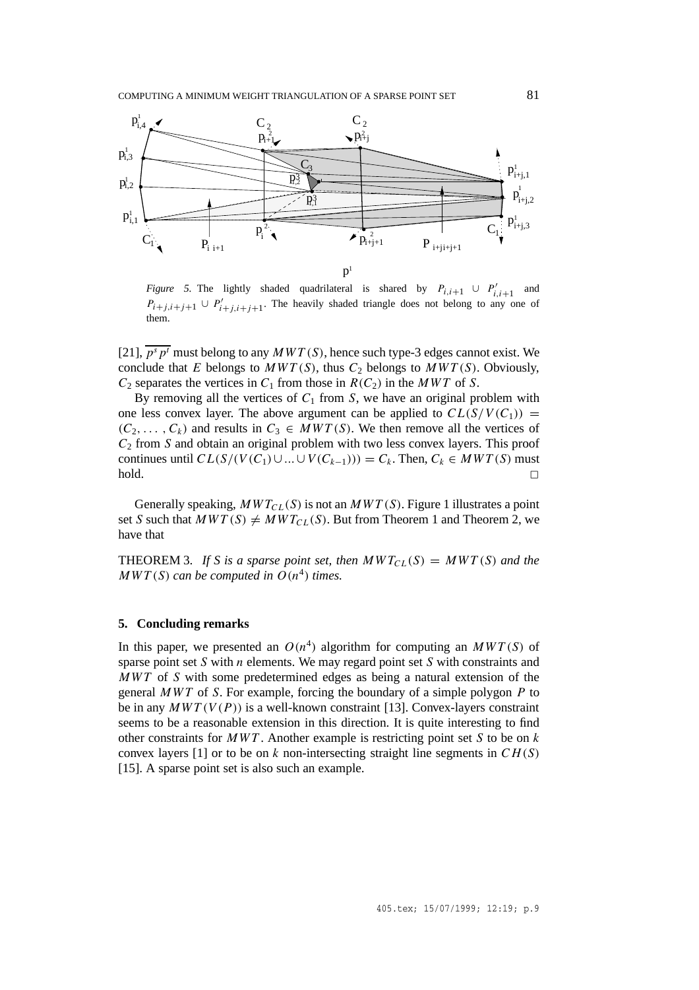

*Figure 5.* The lightly shaded quadrilateral is shared by  $P_{i,i+1} \cup P'_{i,i+1}$  and  $P_{i+j,i+j+1} \cup P'_{i+j,i+j+1}$ . The heavily shaded triangle does not belong to any one of them.

[21],  $\overline{p^s p^t}$  must belong to any  $MWT(S)$ , hence such type-3 edges cannot exist. We conclude that *E* belongs to  $MWT(S)$ , thus  $C_2$  belongs to  $MWT(S)$ . Obviously,  $C_2$  separates the vertices in  $C_1$  from those in  $R(C_2)$  in the *MWT* of *S*.

By removing all the vertices of  $C_1$  from  $S$ , we have an original problem with one less convex layer. The above argument can be applied to  $CL(S/V(C_1))$  =  $(C_2, \ldots, C_k)$  and results in  $C_3 \in MWT(S)$ . We then remove all the vertices of *C*<sup>2</sup> from *S* and obtain an original problem with two less convex layers. This proof continues until  $CL(S/(V(C_1) \cup ... \cup V(C_{k-1}))) = C_k$ . Then,  $C_k \in MWT(S)$  must  $\Box$ 

Generally speaking,  $MWT_{CL}(S)$  is not an  $MWT(S)$ . Figure 1 illustrates a point set *S* such that  $MWT(S) \neq MWT_{CL}(S)$ . But from Theorem 1 and Theorem 2, we have that

THEOREM 3. If S is a sparse point set, then  $MWT_{CL}(S) = MWT(S)$  and the *MWT*(*S*) *can be computed in*  $O(n^4)$  *times.* 

# **5. Concluding remarks**

In this paper, we presented an  $O(n^4)$  algorithm for computing an  $MWT(S)$  of sparse point set *S* with *n* elements. We may regard point set *S* with constraints and *MWT* of *S* with some predetermined edges as being a natural extension of the general *MWT* of *S*. For example, forcing the boundary of a simple polygon *P* to be in any  $MWT(V(P))$  is a well-known constraint [13]. Convex-layers constraint seems to be a reasonable extension in this direction. It is quite interesting to find other constraints for *MWT* . Another example is restricting point set *S* to be on *k* convex layers [1] or to be on *k* non-intersecting straight line segments in *CH (S)* [15]. A sparse point set is also such an example.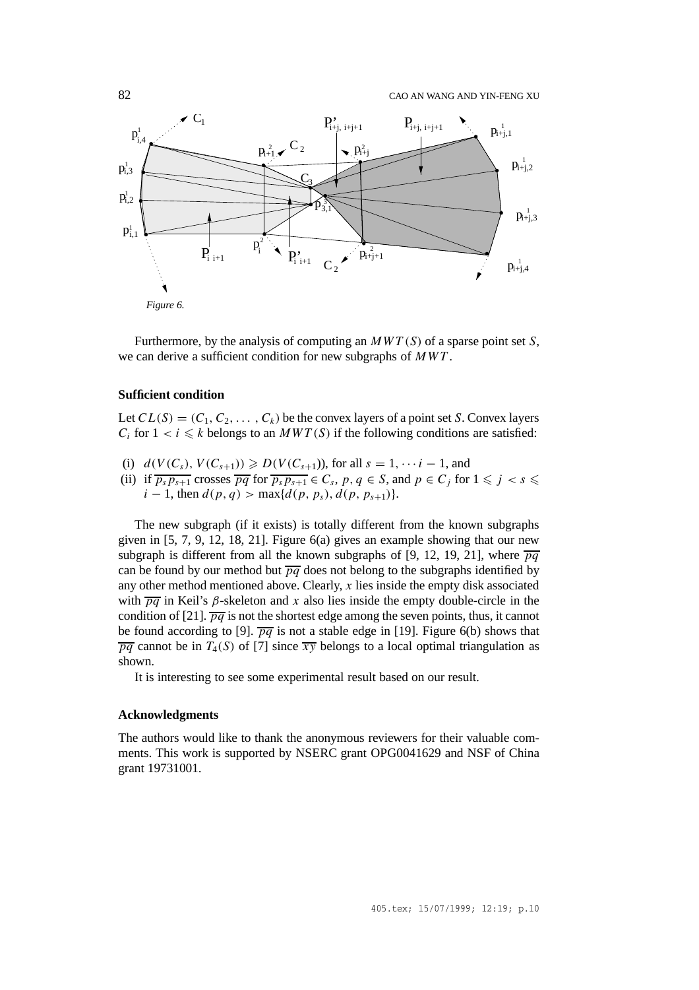

Furthermore, by the analysis of computing an *MW T (S)* of a sparse point set *S*, we can derive a sufficient condition for new subgraphs of *MWT* .

### **Sufficient condition**

Let  $CL(S) = (C_1, C_2, \ldots, C_k)$  be the convex layers of a point set *S*. Convex layers  $C_i$  for  $1 \lt i \leq k$  belongs to an *MWT(S)* if the following conditions are satisfied:

- (i)  $d(V(C_s), V(C_{s+1})) \ge D(V(C_{s+1})),$  for all  $s = 1, \dots, i-1$ , and
- (ii) if  $\overline{p_s p_{s+1}}$  crosses  $\overline{pq}$  for  $\overline{p_s p_{s+1}} \in C_s$ ,  $p, q \in S$ , and  $p \in C_j$  for  $1 \leq j < s \leq k$  $i-1$ , then  $d(p, q) > \max\{d(p, p_s), d(p, p_{s+1})\}.$

The new subgraph (if it exists) is totally different from the known subgraphs given in  $[5, 7, 9, 12, 18, 21]$ . Figure  $6(a)$  gives an example showing that our new subgraph is different from all the known subgraphs of [9, 12, 19, 21], where  $\overline{pq}$ can be found by our method but  $\overline{pq}$  does not belong to the subgraphs identified by any other method mentioned above. Clearly, *x* lies inside the empty disk associated with  $\overline{pq}$  in Keil's  $\beta$ -skeleton and x also lies inside the empty double-circle in the condition of [21].  $\overline{pq}$  is not the shortest edge among the seven points, thus, it cannot be found according to [9].  $\overline{pq}$  is not a stable edge in [19]. Figure 6(b) shows that  $\overline{pq}$  cannot be in  $T_4(S)$  of [7] since  $\overline{xy}$  belongs to a local optimal triangulation as shown.

It is interesting to see some experimental result based on our result.

#### **Acknowledgments**

The authors would like to thank the anonymous reviewers for their valuable comments. This work is supported by NSERC grant OPG0041629 and NSF of China grant 19731001.